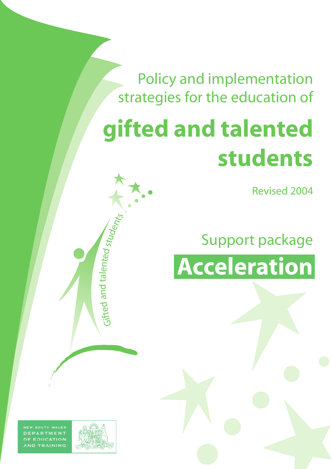Policy and implementation strategies for the education of

# **gifted and talented students**

Revised 2004

## Support package **Acceleration**

TRAINING



**Gifted** 

a  $\mathsf{\Xi}$ ᠊ᠣ

t ale n ted

students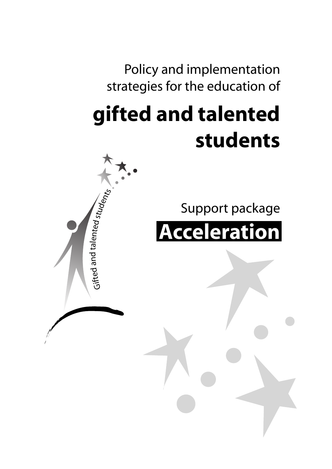Policy and implementation strategies for the education of

## gifted and talented students

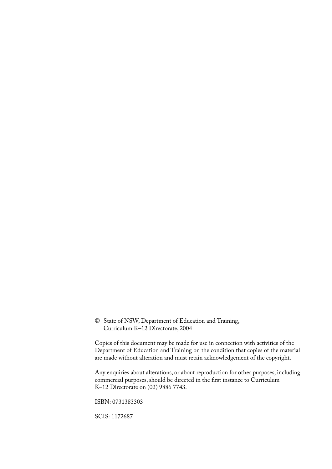© State of NSW, Department of Education and Training, Curriculum K-12 Directorate, 2004

Copies of this document may be made for use in connection with activities of the Department of Education and Training on the condition that copies of the material are made without alteration and must retain acknowledgement of the copyright.

Any enquiries about alterations, or about reproduction for other purposes, including commercial purposes, should be directed in the first instance to Curriculum K-12 Directorate on (02) 9886 7743.

ISBN: 0731383303

SCIS: 1172687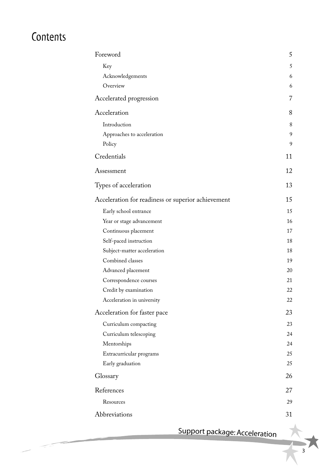## **Contents**

| Foreword                                           | 5              |
|----------------------------------------------------|----------------|
| Key                                                | 5              |
| Acknowledgements                                   | 6              |
| Overview                                           | 6              |
| Accelerated progression                            | $\overline{7}$ |
| Acceleration                                       | 8              |
| Introduction                                       | 8              |
| Approaches to acceleration                         | 9              |
| Policy                                             | 9              |
| Credentials                                        | 11             |
| Assessment                                         | 12             |
| Types of acceleration                              | 13             |
| Acceleration for readiness or superior achievement | 15             |
| Early school entrance                              | 15             |
| Year or stage advancement                          | 16             |
| Continuous placement                               | 17             |
| Self-paced instruction                             | 18             |
| Subject-matter acceleration                        | 18             |
| Combined classes                                   | 19             |
| Advanced placement                                 | 20             |
| Correspondence courses                             | 21             |
| Credit by examination                              | 22             |
| Acceleration in university                         | 22             |
| Acceleration for faster pace                       | 23             |
| Curriculum compacting                              | 23             |
| Curriculum telescoping                             | 24             |
| Mentorships                                        | 24             |
| Extracurricular programs                           | 25             |
| Early graduation                                   | 25             |
| Glossary                                           | 26             |
| References                                         | 27             |
| Resources                                          | 29             |
| Abbreviations                                      | 31             |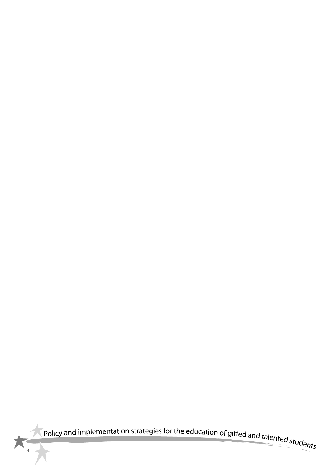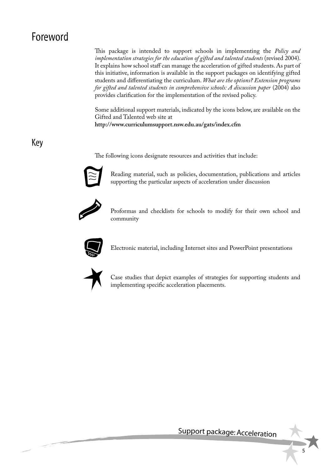## Foreword

This package is intended to support schools in implementing the Policy and implementation strategies for the education of gifted and talented students (revised 2004). It explains how school staff can manage the acceleration of gifted students. As part of this initiative, information is available in the support packages on identifying gifted students and differentiating the curriculum. What are the options? Extension programs for gifted and talented students in comprehensive schools: A discussion paper (2004) also provides clarification for the implementation of the revised policy.

Some additional support materials, indicated by the icons below, are available on the Gifted and Talented web site at

http://www.curriculumsupport.nsw.edu.au/gats/index.cfm

Key

The following icons designate resources and activities that include:



Reading material, such as policies, documentation, publications and articles supporting the particular aspects of acceleration under discussion



Proformas and checklists for schools to modify for their own school and community



Electronic material, including Internet sites and PowerPoint presentations



Case studies that depict examples of strategies for supporting students and implementing specific acceleration placements.



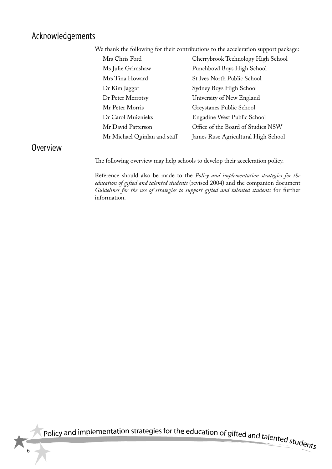## Acknowledgements

We thank the following for their contributions to the acceleration support package:

| Mrs Chris Ford               | Cherrybrook Technology High School  |
|------------------------------|-------------------------------------|
| Ms Julie Grimshaw            | Punchbowl Boys High School          |
| Mrs Tina Howard              | <b>St Ives North Public School</b>  |
| Dr Kim Jaggar                | Sydney Boys High School             |
| Dr Peter Merrotsy            | University of New England           |
| Mr Peter Morris              | Greystanes Public School            |
| Dr Carol Muiznieks           | Engadine West Public School         |
| Mr David Patterson           | Office of the Board of Studies NSW  |
| Mr Michael Quinlan and staff | James Ruse Agricultural High School |

## Overview

The following overview may help schools to develop their acceleration policy.

Reference should also be made to the Policy and implementation strategies for the education of gifted and talented students (revised 2004) and the companion document Guidelines for the use of strategies to support gifted and talented students for further information.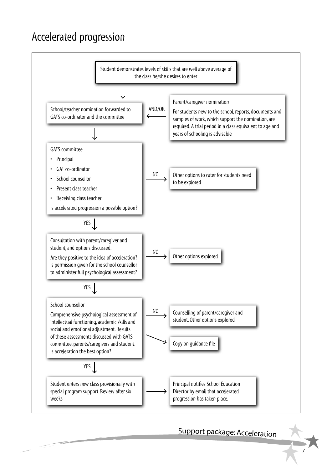## Accelerated progression

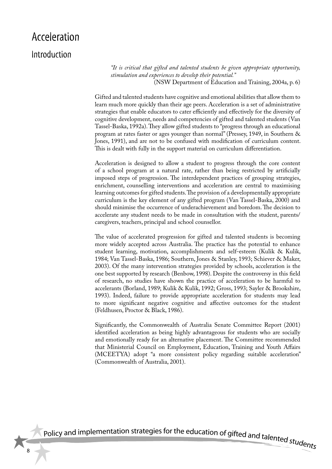## Acceleration

## Introduction

*"It is critical that gifted and talented students be given appropriate opportunity, stimulation and experiences to develop their potential."* (NSW Department of Education and Training, 2004a, p. 6)

Gifted and talented students have cognitive and emotional abilities that allow them to learn much more quickly than their age peers. Acceleration is a set of administrative strategies that enable educators to cater efficiently and effectively for the diversity of cognitive development, needs and competencies of gifted and talented students (Van Tassel-Baska, 1992a). They allow gifted students to "progress through an educational program at rates faster or ages younger than normal" (Pressey, 1949, in Southern & Jones, 1991), and are not to be confused with modification of curriculum content. This is dealt with fully in the support material on curriculum differentiation.

Acceleration is designed to allow a student to progress through the core content of a school program at a natural rate, rather than being restricted by artificially imposed steps of progression. The interdependent practices of grouping strategies, enrichment, counselling interventions and acceleration are central to maximising learning outcomes for gifted students. The provision of a developmentally appropriate curriculum is the key element of any gifted program (Van Tassel-Baska, 2000) and should minimise the occurrence of underachievement and boredom. The decision to accelerate any student needs to be made in consultation with the student, parents/ caregivers, teachers, principal and school counsellor.

The value of accelerated progression for gifted and talented students is becoming more widely accepted across Australia. The practice has the potential to enhance student learning, motivation, accomplishments and self-esteem (Kulik & Kulik, 1984; Van Tassel-Baska, 1986; Southern, Jones & Stanley, 1993; Schiever & Maker, 2003). Of the many intervention strategies provided by schools, acceleration is the one best supported by research (Benbow, 1998). Despite the controversy in this field of research, no studies have shown the practice of acceleration to be harmful to accelerants (Borland, 1989; Kulik & Kulik, 1992; Gross, 1993; Sayler & Brookshire, 1993). Indeed, failure to provide appropriate acceleration for students may lead to more significant negative cognitive and affective outcomes for the student (Feldhusen, Proctor & Black, 1986).

Significantly, the [Commonwealth of Australia Senate Committee Report](http://www.aph.gov.au/senate/committee/eet_ctte/completed_inquiries/1999-02/gifted/index.htm) (2001) identified acceleration as being highly advantageous for students who are socially and emotionally ready for an alternative placement. The Committee recommended that Ministerial Council on Employment, Education, Training and Youth Affairs (MCEETYA) adopt "a more consistent policy regarding suitable acceleration" (Commonwealth of Australia, 2001).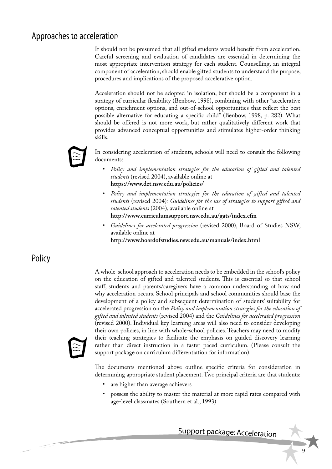## Approaches to acceleration

It should not be presumed that all gifted students would benefit from acceleration. Careful screening and evaluation of candidates are essential in determining the most appropriate intervention strategy for each student. Counselling, an integral component of acceleration, should enable gifted students to understand the purpose, procedures and implications of the proposed accelerative option.

Acceleration should not be adopted in isolation, but should be a component in a strategy of curricular flexibility (Benbow, 1998), combining with other "accelerative options, enrichment options, and out-of-school opportunities that reflect the best possible alternative for educating a specific child" (Benbow, 1998, p. 282). What should be offered is not more work, but rather qualitatively different work that provides advanced conceptual opportunities and stimulates higher-order thinking skills.



In considering acceleration of students, schools will need to consult the following documents:

- Policy and implementation strategies for the education of gifted and talented *students* (revised 2004), available online at **<https://www.det.nsw.edu.au/policies/>**
- Policy and implementation strategies for the education of gifted and talented *students* (revised 2004)*: Guidelines for the use of strategies to support gifted and talented students* (2004), available online at **<http://www.curriculumsupport.nsw.edu.au/gats/index.cfm>**
- *Guidelines for accelerated progression* (revised 2000), Board of Studies NSW, available online at

**<http://www.boardofstudies.nsw.edu.au/manuals/index.html>**

## **Policy**

A whole-school approach to acceleration needs to be embedded in the school's policy on the education of gifted and talented students. This is essential so that school staff, students and parents/caregivers have a common understanding of how and why acceleration occurs. School principals and school communities should base the development of a policy and subsequent determination of students' suitability for accelerated progression on the *Policy and implementation strategies for the education of gifted and talented students* (revised 2004) and the *Guidelines for accelerated progression*  (revised 2000). Individual key learning areas will also need to consider developing their own policies, in line with whole-school policies. Teachers may need to modify their teaching strategies to facilitate the emphasis on guided discovery learning rather than direct instruction in a faster paced curriculum. (Please consult the support package on curriculum differentiation for information).

The documents mentioned above outline specific criteria for consideration in determining appropriate student placement. Two principal criteria are that students:

- are higher than average achievers
- possess the ability to master the material at more rapid rates compared with age-level classmates (Southern et al., 1993).

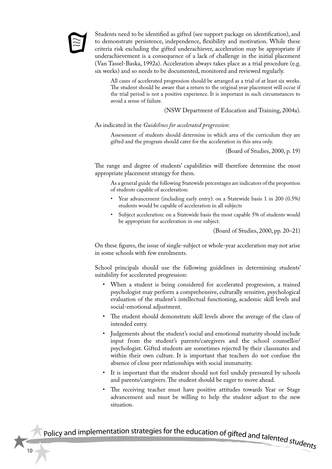

Students need to be identified as gifted (see [support package on identification\)](http://www.curriculumsupport.nsw.edu.au/gats/gats2004/policy/gtidentification.pdf), and to demonstrate persistence, independence, flexibility and motivation. While these criteria risk excluding the gifted underachiever, acceleration may be appropriate if underachievement is a consequence of a lack of challenge in the initial placement (Van Tassel-Baska, 1992a). Acceleration always takes place as a trial procedure (e.g. six weeks) and so needs to be documented, monitored and reviewed regularly.

All cases of accelerated progression should be arranged as a trial of at least six weeks. The student should be aware that a return to the original year placement will occur if the trial period is not a positive experience. It is important in such circumstances to avoid a sense of failure.

(NSW Department of Education and Training, 2004a).

As indicated in the *[Guidelines for accelerated progression](http://www.boardofstudies.nsw.edu.au/manuals/index.html)*:

Assessment of students should determine in which area of the curriculum they are gifted and the program should cater for the acceleration in this area only.

(Board of Studies, 2000, p. 19)

The range and degree of students' capabilities will therefore determine the most appropriate placement strategy for them.

As a general guide the following Statewide percentages are indicators of the proportion of students capable of acceleration:

- Year advancement (including early entry): on a Statewide basis 1 in 200 (0.5%) students would be capable of acceleration in all subjects
- Subject acceleration: on a Statewide basis the most capable 5% of students would be appropriate for acceleration in one subject.

(Board of Studies, 2000, pp. 20–21)

On these figures, the issue of single-subject or whole-year acceleration may not arise in some schools with few enrolments.

School principals should use the following guidelines in determining students' suitability for accelerated progression:

- When a student is being considered for accelerated progression, a trained psychologist may perform a comprehensive, culturally sensitive, psychological evaluation of the student's intellectual functioning, academic skill levels and social-emotional adjustment.
- The student should demonstrate skill levels above the average of the class of intended entry.
- Judgements about the student's social and emotional maturity should include input from the student's parents/caregivers and the school counsellor/ psychologist. Gifted students are sometimes rejected by their classmates and within their own culture. It is important that teachers do not confuse the absence of close peer relationships with social immaturity.
- It is important that the student should not feel unduly pressured by schools and parents/caregivers. The student should be eager to move ahead.
- The receiving teacher must have positive attitudes towards Year or Stage advancement and must be willing to help the student adjust to the new situation.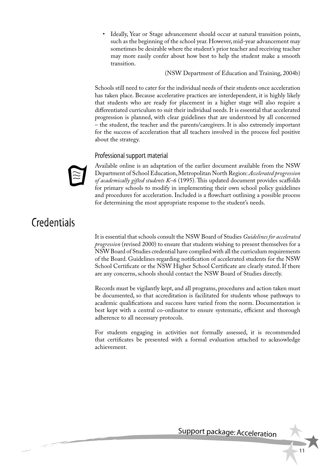Ideally, Year or Stage advancement should occur at natural transition points, such as the beginning of the school year. However, mid-year advancement may sometimes be desirable where the student's prior teacher and receiving teacher may more easily confer about how best to help the student make a smooth transition.

(NSW Department of Education and Training, 2004b)

Schools still need to cater for the individual needs of their students once acceleration has taken place. Because accelerative practices are interdependent, it is highly likely that students who are ready for placement in a higher stage will also require a differentiated curriculum to suit their individual needs. It is essential that accelerated progression is planned, with clear guidelines that are understood by all concerned - the student, the teacher and the parents/caregivers. It is also extremely important for the success of acceleration that all teachers involved in the process feel positive about the strategy.

#### Professional support material

Available online is an adaptation of the earlier document available from the NSW Department of School Education, Metropolitan North Region: Accelerated progression of academically gifted students  $K=6$  (1995). This updated document provides scaffolds for primary schools to modify in implementing their own school policy guidelines and procedures for acceleration. Included is a flowchart outlining a possible process for determining the most appropriate response to the student's needs.

## Credentials

It is essential that schools consult the NSW Board of Studies Guidelines for accelerated *progression* (revised 2000) to ensure that students wishing to present themselves for a NSW Board of Studies credential have complied with all the curriculum requirements of the Board. Guidelines regarding notification of accelerated students for the NSW School Certificate or the NSW Higher School Certificate are clearly stated. If there are any concerns, schools should contact the NSW Board of Studies directly.

Records must be vigilantly kept, and all programs, procedures and action taken must be documented, so that accreditation is facilitated for students whose pathways to academic qualifications and success have varied from the norm. Documentation is best kept with a central co-ordinator to ensure systematic, efficient and thorough adherence to all necessary protocols.

For students engaging in activities not formally assessed, it is recommended that certificates be presented with a formal evaluation attached to acknowledge achievement.

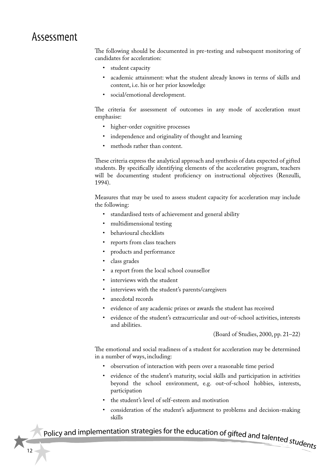## Assessment

The following should be documented in pre-testing and subsequent monitoring of candidates for acceleration:

- student capacity
- academic attainment: what the student already knows in terms of skills and content, i.e. his or her prior knowledge
- social/emotional development.

The criteria for assessment of outcomes in any mode of acceleration must emphasise:

- higher-order cognitive processes
- · independence and originality of thought and learning
- methods rather than content.

These criteria express the analytical approach and synthesis of data expected of gifted students. By specifically identifying elements of the accelerative program, teachers will be documenting student proficiency on instructional objectives (Renzulli, 1994).

Measures that may be used to assess student capacity for acceleration may include the following:

- · standardised tests of achievement and general ability
- multidimensional testing
- behavioural checklists
- reports from class teachers
- products and performance
- · class grades
- a report from the local school counsellor
- interviews with the student
- · interviews with the student's parents/caregivers
- anecdotal records
- evidence of any academic prizes or awards the student has received
- evidence of the student's extracurricular and out-of-school activities, interests and abilities.

(Board of Studies, 2000, pp. 21-22)

The emotional and social readiness of a student for acceleration may be determined in a number of ways, including:

- observation of interaction with peers over a reasonable time period
- evidence of the student's maturity, social skills and participation in activities beyond the school environment, e.g. out-of-school hobbies, interests, participation
- the student's level of self-esteem and motivation
- consideration of the student's adjustment to problems and decision-making skills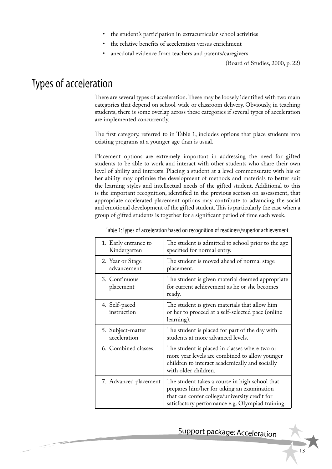- the student's participation in extracurricular school activities
- the relative benefits of acceleration versus enrichment
- anecdotal evidence from teachers and parents/caregivers.

(Board of Studies, 2000, p. 22)

## Types of acceleration

There are several types of acceleration. These may be loosely identified with two main categories that depend on school-wide or classroom delivery. Obviously, in teaching students, there is some overlap across these categories if several types of acceleration are implemented concurrently.

The first category, referred to in Table 1, includes options that place students into existing programs at a younger age than is usual.

Placement options are extremely important in addressing the need for gifted students to be able to work and interact with other students who share their own level of ability and interests. Placing a student at a level commensurate with his or her ability may optimise the development of methods and materials to better suit the learning styles and intellectual needs of the gifted student. Additional to this is the important recognition, identified in the previous section on assessment, that appropriate accelerated placement options may contribute to advancing the social and emotional development of the gifted student. This is particularly the case when a group of gifted students is together for a significant period of time each week.

| 1. Early entrance to<br>Kindergarten | The student is admitted to school prior to the age<br>specified for normal entry.                                                                                                                 |
|--------------------------------------|---------------------------------------------------------------------------------------------------------------------------------------------------------------------------------------------------|
| 2. Year or Stage<br>advancement      | The student is moved ahead of normal stage<br>placement.                                                                                                                                          |
| 3. Continuous<br>placement           | The student is given material deemed appropriate<br>for current achievement as he or she becomes<br>ready.                                                                                        |
| 4. Self-paced<br>instruction         | The student is given materials that allow him<br>or her to proceed at a self-selected pace (online<br>learning).                                                                                  |
| 5. Subject-matter<br>acceleration    | The student is placed for part of the day with<br>students at more advanced levels.                                                                                                               |
| 6. Combined classes                  | The student is placed in classes where two or<br>more year levels are combined to allow younger<br>children to interact academically and socially<br>with older children.                         |
| 7. Advanced placement                | The student takes a course in high school that<br>prepares him/her for taking an examination<br>that can confer college/university credit for<br>satisfactory performance e.g. Olympiad training. |

Table 1: Types of acceleration based on recognition of readiness/superior achievement.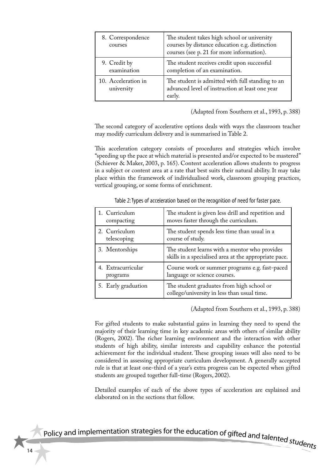| 8. Correspondence<br>courses      | The student takes high school or university<br>courses by distance education e.g. distinction<br>courses (see p. 21 for more information). |
|-----------------------------------|--------------------------------------------------------------------------------------------------------------------------------------------|
| 9. Credit by<br>examination       | The student receives credit upon successful<br>completion of an examination.                                                               |
| 10. Acceleration in<br>university | The student is admitted with full standing to an<br>advanced level of instruction at least one year<br>early.                              |

(Adapted from Southern et al., 1993, p. 388)

The second category of accelerative options deals with ways the classroom teacher may modify curriculum delivery and is summarised in Table 2.

This acceleration category consists of procedures and strategies which involve "speeding up the pace at which material is presented and/or expected to be mastered" (Schiever & Maker, 2003, p. 165). Content acceleration allows students to progress in a subject or content area at a rate that best suits their natural ability. It may take place within the framework of individualised work, classroom grouping practices, vertical grouping, or some forms of enrichment.

| 1. Curriculum       | The student is given less drill and repetition and                                                     |
|---------------------|--------------------------------------------------------------------------------------------------------|
| compacting          | moves faster through the curriculum.                                                                   |
| 2. Curriculum       | The student spends less time than usual in a                                                           |
| telescoping         | course of study.                                                                                       |
| 3. Mentorships      | The student learns with a mentor who provides<br>skills in a specialised area at the appropriate pace. |
| 4. Extracurricular  | Course work or summer programs e.g. fast-paced                                                         |
| programs            | language or science courses.                                                                           |
| 5. Early graduation | The student graduates from high school or<br>college/university in less than usual time.               |

Table 2: Types of acceleration based on the recognition of need for faster pace.

(Adapted from Southern et al., 1993, p. 388)

For gifted students to make substantial gains in learning they need to spend the majority of their learning time in key academic areas with others of similar ability (Rogers, 2002). The richer learning environment and the interaction with other students of high ability, similar interests and capability enhance the potential achievement for the individual student. These grouping issues will also need to be considered in assessing appropriate curriculum development. A generally accepted rule is that at least one-third of a year's extra progress can be expected when gifted students are grouped together full-time (Rogers, 2002).

Detailed examples of each of the above types of acceleration are explained and elaborated on in the sections that follow.

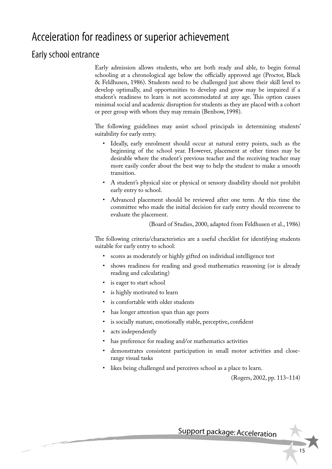## Acceleration for readiness or superior achievement

## Early school entrance

Early admission allows students, who are both ready and able, to begin formal schooling at a chronological age below the officially approved age (Proctor, Black & Feldhusen, 1986). Students need to be challenged just above their skill level to develop optimally, and opportunities to develop and grow may be impaired if a student's readiness to learn is not accommodated at any age. This option causes minimal social and academic disruption for students as they are placed with a cohort or peer group with whom they may remain (Benbow, 1998).

The following guidelines may assist school principals in determining students' suitability for early entry.

- Ideally, early enrolment should occur at natural entry points, such as the beginning of the school year. However, placement at other times may be desirable where the student's previous teacher and the receiving teacher may more easily confer about the best way to help the student to make a smooth transition.
- A student's physical size or physical or sensory disability should not prohibit early entry to school.
- Advanced placement should be reviewed after one term. At this time the committee who made the initial decision for early entry should reconvene to evaluate the placement.

(Board of Studies, 2000, adapted from Feldhusen et al., 1986)

The following criteria/characteristics are a useful checklist for identifying students suitable for early entry to school:

- scores as moderately or highly gifted on individual intelligence test
- · shows readiness for reading and good mathematics reasoning (or is already reading and calculating)
- is eager to start school
- is highly motivated to learn
- · is comfortable with older students
- has longer attention span than age peers
- is socially mature, emotionally stable, perceptive, confident
- acts independently
- has preference for reading and/or mathematics activities
- · demonstrates consistent participation in small motor activities and closerange visual tasks
- likes being challenged and perceives school as a place to learn.

(Rogers, 2002, pp. 113–114)

Support package: Acceleration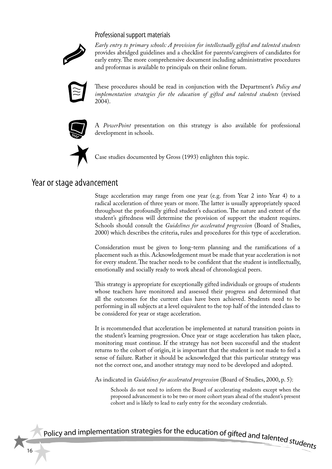

Early entry to primary schools: A provision for intellectually gifted and talented students provides abridged guidelines and a checklist for parents/caregivers of candidates for early entry. The more comprehensive document including administrative procedures and proformas is available to principals on their online forum.



These procedures should be read in conjunction with the Department's Policy and implementation strategies for the education of gifted and talented students (revised 2004).



A PowerPoint presentation on this strategy is also available for professional development in schools.



Case studies documented by Gross (1993) enlighten this topic.

## Year or stage advancement

Stage acceleration may range from one year (e.g. from Year 2 into Year 4) to a radical acceleration of three years or more. The latter is usually appropriately spaced throughout the profoundly gifted student's education. The nature and extent of the student's giftedness will determine the provision of support the student requires. Schools should consult the Guidelines for accelerated progression (Board of Studies, 2000) which describes the criteria, rules and procedures for this type of acceleration.

Consideration must be given to long-term planning and the ramifications of a placement such as this. Acknowledgement must be made that year acceleration is not for every student. The teacher needs to be confident that the student is intellectually, emotionally and socially ready to work ahead of chronological peers.

This strategy is appropriate for exceptionally gifted individuals or groups of students whose teachers have monitored and assessed their progress and determined that all the outcomes for the current class have been achieved. Students need to be performing in all subjects at a level equivalent to the top half of the intended class to be considered for year or stage acceleration.

It is recommended that acceleration be implemented at natural transition points in the student's learning progression. Once year or stage acceleration has taken place, monitoring must continue. If the strategy has not been successful and the student returns to the cohort of origin, it is important that the student is not made to feel a sense of failure. Rather it should be acknowledged that this particular strategy was not the correct one, and another strategy may need to be developed and adopted.

As indicated in *Guidelines for accelerated progression* (Board of Studies, 2000, p. 5):

Schools do not need to inform the Board of accelerating students except when the proposed advancement is to be two or more cohort years ahead of the student's present cohort and is likely to lead to early entry for the secondary credentials.

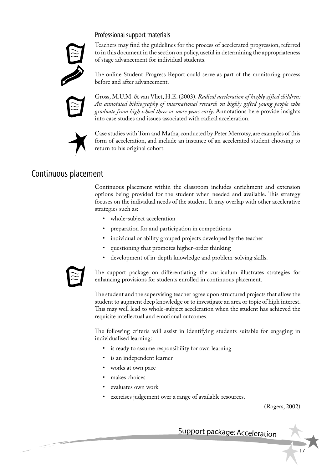

Teachers may find the guidelines for the process of accelerated progression, referred to in this document in the section on policy, useful in determining the appropriateness of stage advancement for individual students.

The online Student Progress Report could serve as part of the monitoring process before and after advancement.

Gross, M.U.M. & van Vliet, H.E. (2003). Radical acceleration of highly gifted children: An annotated bibliography of international research on highly gifted young people who graduate from high school three or more years early. Annotations here provide insights into case studies and issues associated with radical acceleration.



Case studies with Tom and Matha, conducted by Peter Merrotsy, are examples of this form of acceleration, and include an instance of an accelerated student choosing to return to his original cohort.

## Continuous placement

Continuous placement within the classroom includes enrichment and extension options being provided for the student when needed and available. This strategy focuses on the individual needs of the student. It may overlap with other accelerative strategies such as:

- whole-subject acceleration
- preparation for and participation in competitions
- individual or ability grouped projects developed by the teacher
- $\bullet$ questioning that promotes higher-order thinking
- development of in-depth knowledge and problem-solving skills.



The support package on differentiating the curriculum illustrates strategies for enhancing provisions for students enrolled in continuous placement.

The student and the supervising teacher agree upon structured projects that allow the student to augment deep knowledge or to investigate an area or topic of high interest. This may well lead to whole-subject acceleration when the student has achieved the requisite intellectual and emotional outcomes.

The following criteria will assist in identifying students suitable for engaging in individualised learning:

- is ready to assume responsibility for own learning
- is an independent learner
- works at own pace
- makes choices
- evaluates own work
- exercises judgement over a range of available resources.

(Rogers, 2002)

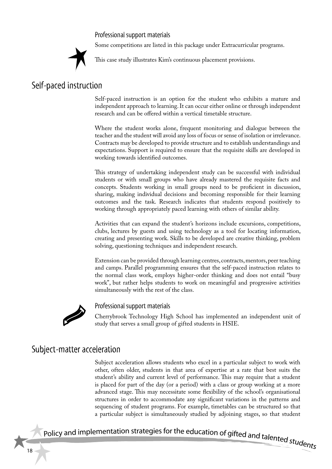Some competitions are listed in this package under Extracurricular programs.



This case study illustrates Kim's continuous placement provisions.

## Self-paced instruction

Self-paced instruction is an option for the student who exhibits a mature and independent approach to learning. It can occur either online or through independent research and can be offered within a vertical timetable structure.

Where the student works alone, frequent monitoring and dialogue between the teacher and the student will avoid any loss of focus or sense of isolation or irrelevance. Contracts may be developed to provide structure and to establish understandings and expectations. Support is required to ensure that the requisite skills are developed in working towards identified outcomes.

This strategy of undertaking independent study can be successful with individual students or with small groups who have already mastered the requisite facts and concepts. Students working in small groups need to be proficient in discussion, sharing, making individual decisions and becoming responsible for their learning outcomes and the task. Research indicates that students respond positively to working through appropriately paced learning with others of similar ability.

Activities that can expand the student's horizons include excursions, competitions, clubs, lectures by guests and using technology as a tool for locating information, creating and presenting work. Skills to be developed are creative thinking, problem solving, questioning techniques and independent research.

Extension can be provided through learning centres, contracts, mentors, peer teaching and camps. Parallel programming ensures that the self-paced instruction relates to the normal class work, employs higher-order thinking and does not entail "busy work", but rather helps students to work on meaningful and progressive activities simultaneously with the rest of the class.



#### Professional support materials

Cherrybrook Technology High School has implemented an independent unit of study that serves a small group of gifted students in HSIE.

## Subject-matter acceleration

Subject acceleration allows students who excel in a particular subject to work with other, often older, students in that area of expertise at a rate that best suits the student's ability and current level of performance. This may require that a student is placed for part of the day (or a period) with a class or group working at a more advanced stage. This may necessitate some flexibility of the school's organisational structures in order to accommodate any significant variations in the patterns and sequencing of student programs. For example, timetables can be structured so that a particular subject is simultaneously studied by adjoining stages, so that student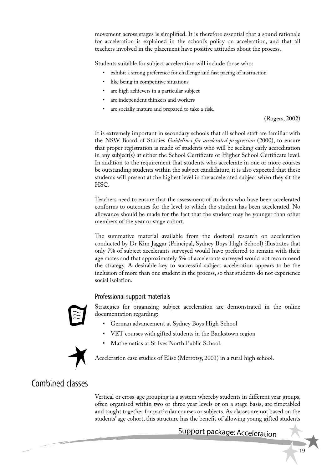movement across stages is simplified. It is therefore essential that a sound rationale for acceleration is explained in the school's policy on acceleration, and that all teachers involved in the placement have positive attitudes about the process.

Students suitable for subject acceleration will include those who:

- exhibit a strong preference for challenge and fast pacing of instruction
- like being in competitive situations
- are high achievers in a particular subject
- are independent thinkers and workers
- are socially mature and prepared to take a risk.

 $(Rogers, 2002)$ 

It is extremely important in secondary schools that all school staff are familiar with the NSW Board of Studies Guidelines for accelerated progression (2000), to ensure that proper registration is made of students who will be seeking early accreditation in any subject(s) at either the School Certificate or Higher School Certificate level. In addition to the requirement that students who accelerate in one or more courses be outstanding students within the subject candidature, it is also expected that these students will present at the highest level in the accelerated subject when they sit the HSC.

Teachers need to ensure that the assessment of students who have been accelerated conforms to outcomes for the level to which the student has been accelerated. No allowance should be made for the fact that the student may be younger than other members of the year or stage cohort.

The summative material available from the doctoral research on acceleration conducted by Dr Kim Jaggar (Principal, Sydney Boys High School) illustrates that only 7% of subject accelerants surveyed would have preferred to remain with their age mates and that approximately 5% of accelerants surveyed would not recommend the strategy. A desirable key to successful subject acceleration appears to be the inclusion of more than one student in the process, so that students do not experience social isolation.

#### Professional support materials



Strategies for organising subject acceleration are demonstrated in the online documentation regarding:

- German advancement at Sydney Boys High School
- VET courses with gifted students in the Bankstown region
- Mathematics at St Ives North Public School.



Acceleration case studies of Elise (Merrotsy, 2003) in a rural high school.

## Combined classes

Vertical or cross-age grouping is a system whereby students in different year groups, often organised within two or three year levels or on a stage basis, are timetabled and taught together for particular courses or subjects. As classes are not based on the students' age cohort, this structure has the benefit of allowing young gifted students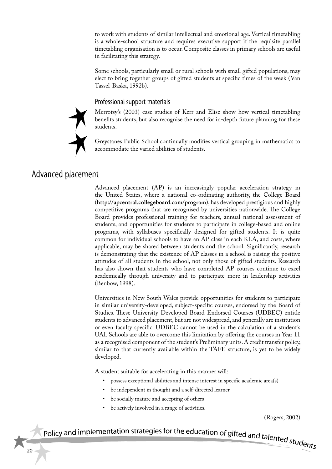to work with students of similar intellectual and emotional age. Vertical timetabling is a whole-school structure and requires executive support if the requisite parallel timetabling organisation is to occur. Composite classes in primary schools are useful in facilitating this strategy.

Some schools, particularly small or rural schools with small gifted populations, may elect to bring together groups of gifted students at specific times of the week (Van Tassel-Baska, 1992b).

#### Professional support materials



Merrotsy's (2003) case studies of [Kerr and Elise](http://www.curriculumsupport.nsw.edu.au/gats/gats2004/pdfs/elise&kerr.pdf) show how vertical timetabling benefits students, but also recognise the need for in-depth future planning for these students.

[Greystanes Public School](http://www.curriculumsupport.nsw.edu.au/gats/gats2004/pdfs/greystanes.pdf) continually modifies vertical grouping in mathematics to accommodate the varied abilities of students.

## Advanced placement

Advanced placement (AP) is an increasingly popular acceleration strategy in the United States, where a national co-ordinating authority, the College Board (**<http://apcentral.collegeboard.com/program>**), has developed prestigious and highly competitive programs that are recognised by universities nationwide. The College Board provides professional training for teachers, annual national assessment of students, and opportunities for students to participate in college-based and online programs, with syllabuses specifically designed for gifted students. It is quite common for individual schools to have an AP class in each KLA, and costs, where applicable, may be shared between students and the school. Significantly, research is demonstrating that the existence of AP classes in a school is raising the positive attitudes of all students in the school, not only those of gifted students. Research has also shown that students who have completed AP courses continue to excel academically through university and to participate more in leadership activities (Benbow, 1998).

Universities in New South Wales provide opportunities for students to participate in similar university-developed, subject-specific courses, endorsed by the Board of Studies. These University Developed Board Endorsed Courses (UDBEC) entitle students to advanced placement, but are not widespread, and generally are institution or even faculty specific. UDBEC cannot be used in the calculation of a student's UAI. Schools are able to overcome this limitation by offering the courses in Year 11 as a recognised component of the student's Preliminary units. A credit transfer policy, similar to that currently available within the TAFE structure, is yet to be widely developed.

A student suitable for accelerating in this manner will:

- possess exceptional abilities and intense interest in specific academic area(s)
- be independent in thought and a self-directed learner
- be socially mature and accepting of others
- be actively involved in a range of activities.

(Rogers, 2002)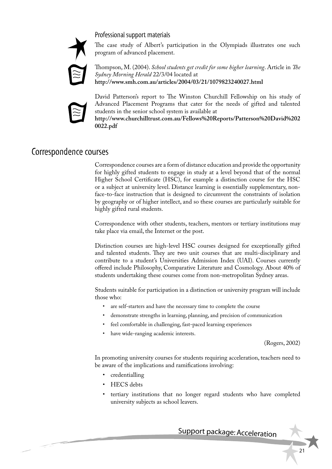

The case study of Albert's participation in the Olympiads illustrates one such program of advanced placement.

Thompson, M. (2004). School students get credit for some higher learning. Article in The Sydney Morning Herald 22/3/04 located at http://www.smh.com.au/articles/2004/03/21/1079823240027.html



David Patterson's report to The Winston Churchill Fellowship on his study of Advanced Placement Programs that cater for the needs of gifted and talented students in the senior school system is available at

http://www.churchilltrust.com.au/Fellows%20Reports/Patterson%20David%202  $0022.pdf$ 

## Correspondence courses

Correspondence courses are a form of distance education and provide the opportunity for highly gifted students to engage in study at a level beyond that of the normal Higher School Certificate (HSC), for example a distinction course for the HSC or a subject at university level. Distance learning is essentially supplementary, nonface-to-face instruction that is designed to circumvent the constraints of isolation by geography or of higher intellect, and so these courses are particularly suitable for highly gifted rural students.

Correspondence with other students, teachers, mentors or tertiary institutions may take place via email, the Internet or the post.

Distinction courses are high-level HSC courses designed for exceptionally gifted and talented students. They are two unit courses that are multi-disciplinary and contribute to a student's Universities Admission Index (UAI). Courses currently offered include Philosophy, Comparative Literature and Cosmology. About 40% of students undertaking these courses come from non-metropolitan Sydney areas.

Students suitable for participation in a distinction or university program will include those who:

- are self-starters and have the necessary time to complete the course
- demonstrate strengths in learning, planning, and precision of communication
- feel comfortable in challenging, fast-paced learning experiences
- have wide-ranging academic interests.

(Rogers, 2002)

 $21$ 

In promoting university courses for students requiring acceleration, teachers need to be aware of the implications and ramifications involving:

- credentialling
- · HECS debts
- tertiary institutions that no longer regard students who have completed university subjects as school leavers.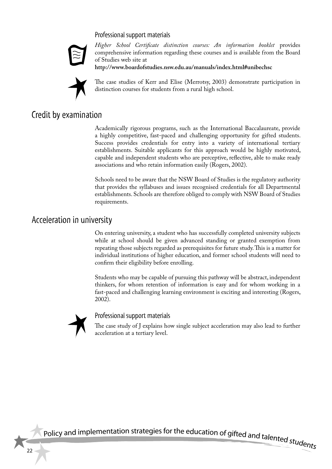

Higher School Certificate distinction courses: An information booklet provides comprehensive information regarding these courses and is available from the Board of Studies web site at

http://www.boardofstudies.nsw.edu.au/manuals/index.html#unibechsc



The case studies of Kerr and Elise (Merrotsy, 2003) demonstrate participation in distinction courses for students from a rural high school.

## Credit by examination

Academically rigorous programs, such as the International Baccalaureate, provide a highly competitive, fast-paced and challenging opportunity for gifted students. Success provides credentials for entry into a variety of international tertiary establishments. Suitable applicants for this approach would be highly motivated, capable and independent students who are perceptive, reflective, able to make ready associations and who retain information easily (Rogers, 2002).

Schools need to be aware that the NSW Board of Studies is the regulatory authority that provides the syllabuses and issues recognised credentials for all Departmental establishments. Schools are therefore obliged to comply with NSW Board of Studies requirements.

## Acceleration in university

On entering university, a student who has successfully completed university subjects while at school should be given advanced standing or granted exemption from repeating those subjects regarded as prerequisites for future study. This is a matter for individual institutions of higher education, and former school students will need to confirm their eligibility before enrolling.

Students who may be capable of pursuing this pathway will be abstract, independent thinkers, for whom retention of information is easy and for whom working in a fast-paced and challenging learning environment is exciting and interesting (Rogers,  $2002$ ).



#### Professional support materials

The case study of J explains how single subject acceleration may also lead to further acceleration at a tertiary level.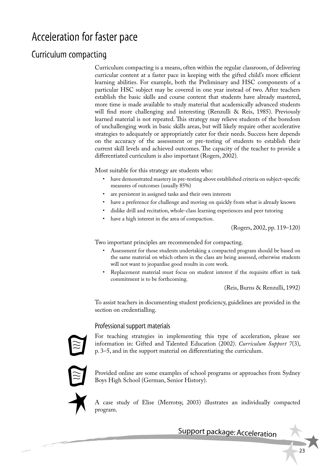## Acceleration for faster pace

## Curriculum compacting

Curriculum compacting is a means, often within the regular classroom, of delivering curricular content at a faster pace in keeping with the gifted child's more efficient learning abilities. For example, both the Preliminary and HSC components of a particular HSC subject may be covered in one year instead of two. After teachers establish the basic skills and course content that students have already mastered, more time is made available to study material that academically advanced students will find more challenging and interesting (Renzulli & Reis, 1985). Previously learned material is not repeated. This strategy may relieve students of the boredom of unchallenging work in basic skills areas, but will likely require other accelerative strategies to adequately or appropriately cater for their needs. Success here depends on the accuracy of the assessment or pre-testing of students to establish their current skill levels and achieved outcomes. The capacity of the teacher to provide a differentiated curriculum is also important (Rogers, 2002).

Most suitable for this strategy are students who:

- have demonstrated mastery in pre-testing above established criteria on subject-specific measures of outcomes (usually 85%)
- are persistent in assigned tasks and their own interests
- have a preference for challenge and moving on quickly from what is already known
- dislike drill and recitation, whole-class learning experiences and peer tutoring
- have a high interest in the area of compaction.

(Rogers, 2002, pp. 119-120)

Two important principles are recommended for compacting.

- Assessment for those students undertaking a compacted program should be based on the same material on which others in the class are being assessed, otherwise students will not want to jeopardise good results in core work.
- Replacement material must focus on student interest if the requisite effort in task commitment is to be forthcoming.

(Reis, Burns & Renzulli, 1992)

To assist teachers in documenting student proficiency, guidelines are provided in the section on credentialling.

Professional support materials



information in: Gifted and Talented Education (2002). Curriculum Support 7(3), p. 3-5, and in the support material on differentiating the curriculum.

For teaching strategies in implementing this type of acceleration, please see



Provided online are some examples of school programs or approaches from Sydney Boys High School (German, Senior History).



A case study of Elise (Merrotsy, 2003) illustrates an individually compacted program.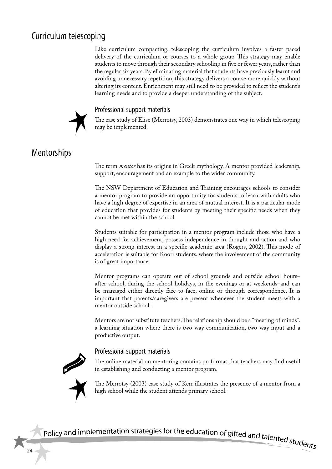## Curriculum telescoping

Like curriculum compacting, telescoping the curriculum involves a faster paced delivery of the curriculum or courses to a whole group. This strategy may enable students to move through their secondary schooling in five or fewer years, rather than the regular six years. By eliminating material that students have previously learnt and avoiding unnecessary repetition, this strategy delivers a course more quickly without altering its content. Enrichment may still need to be provided to reflect the student's learning needs and to provide a deeper understanding of the subject.



#### Professional support materials

The case study of Elise (Merrotsy, 2003) demonstrates one way in which telescoping may be implemented.

## Mentorships

The term *mentor* has its origins in Greek mythology. A mentor provided leadership, support, encouragement and an example to the wider community.

The NSW Department of Education and Training encourages schools to consider a mentor program to provide an opportunity for students to learn with adults who have a high degree of expertise in an area of mutual interest. It is a particular mode of education that provides for students by meeting their specific needs when they cannot be met within the school.

Students suitable for participation in a mentor program include those who have a high need for achievement, possess independence in thought and action and who display a strong interest in a specific academic area (Rogers, 2002). This mode of acceleration is suitable for Koori students, where the involvement of the community is of great importance.

Mentor programs can operate out of school grounds and outside school hoursafter school, during the school holidays, in the evenings or at weekends-and can be managed either directly face-to-face, online or through correspondence. It is important that parents/caregivers are present whenever the student meets with a mentor outside school.

Mentors are not substitute teachers. The relationship should be a "meeting of minds", a learning situation where there is two-way communication, two-way input and a productive output.

#### Professional support materials



The online material on mentoring contains proformas that teachers may find useful in establishing and conducting a mentor program.



The Merrotsy (2003) case study of Kerr illustrates the presence of a mentor from a high school while the student attends primary school.

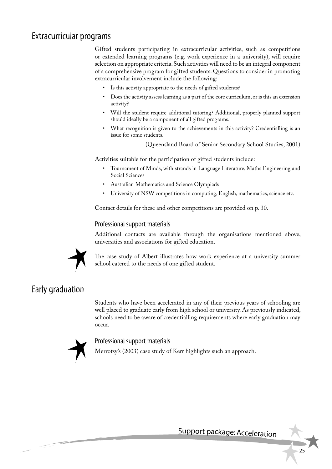## Extracurricular programs

Gifted students participating in extracurricular activities, such as competitions or extended learning programs (e.g. work experience in a university), will require selection on appropriate criteria. Such activities will need to be an integral component of a comprehensive program for gifted students. Questions to consider in promoting extracurricular involvement include the following:

- Is this activity appropriate to the needs of gifted students?
- $\bullet$ Does the activity assess learning as a part of the core curriculum, or is this an extension activity?
- Will the student require additional tutoring? Additional, properly planned support should ideally be a component of all gifted programs.
- What recognition is given to the achievements in this activity? Credentialling is an issue for some students.

(Queensland Board of Senior Secondary School Studies, 2001)

Activities suitable for the participation of gifted students include:

- Tournament of Minds, with strands in Language Literature, Maths Engineering and Social Sciences
- Australian Mathematics and Science Olympiads
- University of NSW competitions in computing, English, mathematics, science etc.

Contact details for these and other competitions are provided on p. 30.

#### Professional support materials

Additional contacts are available through the organisations mentioned above, universities and associations for gifted education.



The case study of Albert illustrates how work experience at a university summer school catered to the needs of one gifted student.

## Early graduation

Students who have been accelerated in any of their previous years of schooling are well placed to graduate early from high school or university. As previously indicated, schools need to be aware of credentialling requirements where early graduation may occur.



#### Professional support materials

Merrotsy's (2003) case study of Kerr highlights such an approach.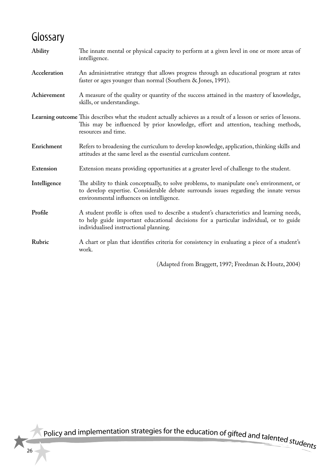## Glossary

| Ability      | The innate mental or physical capacity to perform at a given level in one or more areas of<br>intelligence.                                                                                                                      |
|--------------|----------------------------------------------------------------------------------------------------------------------------------------------------------------------------------------------------------------------------------|
| Acceleration | An administrative strategy that allows progress through an educational program at rates<br>faster or ages younger than normal (Southern & Jones, 1991).                                                                          |
| Achievement  | A measure of the quality or quantity of the success attained in the mastery of knowledge,<br>skills, or understandings.                                                                                                          |
|              | Learning outcome This describes what the student actually achieves as a result of a lesson or series of lessons.<br>This may be influenced by prior knowledge, effort and attention, teaching methods,<br>resources and time.    |
| Enrichment   | Refers to broadening the curriculum to develop knowledge, application, thinking skills and<br>attitudes at the same level as the essential curriculum content.                                                                   |
| Extension    | Extension means providing opportunities at a greater level of challenge to the student.                                                                                                                                          |
| Intelligence | The ability to think conceptually, to solve problems, to manipulate one's environment, or<br>to develop expertise. Considerable debate surrounds issues regarding the innate versus<br>environmental influences on intelligence. |
| Profile      | A student profile is often used to describe a student's characteristics and learning needs,<br>to help guide important educational decisions for a particular individual, or to guide<br>individualised instructional planning.  |
| Rubric       | A chart or plan that identifies criteria for consistency in evaluating a piece of a student's<br>work.                                                                                                                           |

(Adapted from Braggett, 1997; Freedman & Houtz, 2004)

Policy and implementation strategies for the education of gifted and talented students

X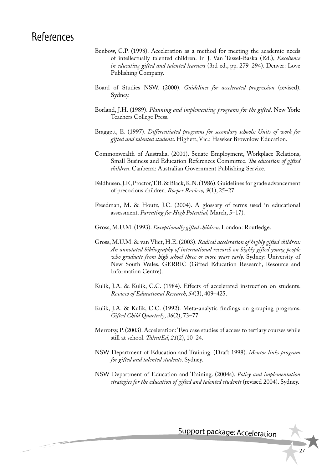## References

- Benbow, C.P. (1998). Acceleration as a method for meeting the academic needs of intellectually talented children. In J. Van Tassel-Baska (Ed.), Excellence in educating gifted and talented learners (3rd ed., pp. 279-294). Denver: Love Publishing Company.
- Board of Studies NSW. (2000). Guidelines for accelerated progression (revised). Sydney.
- Borland, J.H. (1989). Planning and implementing programs for the gifted. New York: Teachers College Press.
- Braggett, E. (1997). Differentiated programs for secondary schools: Units of work for gifted and talented students. Highett, Vic.: Hawker Brownlow Education.
- Commonwealth of Australia. (2001). Senate Employment, Workplace Relations, Small Business and Education References Committee. The education of gifted children. Canberra: Australian Government Publishing Service.
- Feldhusen, J.F., Proctor, T.B. & Black, K.N. (1986). Guidelines for grade advancement of precocious children. Roeper Review, 9(1), 25-27.
- Freedman, M. & Houtz, J.C. (2004). A glossary of terms used in educational assessment. Parenting for High Potential, March, 5-17).
- Gross, M.U.M. (1993). Exceptionally gifted children. London: Routledge.
- Gross, M.U.M. & van Vliet, H.E. (2003). Radical acceleration of highly gifted children: An annotated bibliography of international research on highly gifted young people who graduate from high school three or more years early. Sydney: University of New South Wales, GERRIC (Gifted Education Research, Resource and Information Centre).
- Kulik, J.A. & Kulik, C.C. (1984). Effects of accelerated instruction on students. Review of Educational Research, 54(3), 409–425.
- Kulik, J.A. & Kulik, C.C. (1992). Meta-analytic findings on grouping programs. Gifted Child Quarterly, 36(2), 73-77.
- Merrotsy, P. (2003). Acceleration: Two case studies of access to tertiary courses while still at school. TalentEd, 21(2), 10-24.
- NSW Department of Education and Training. (Draft 1998). Mentor links program for gifted and talented students. Sydney.
- NSW Department of Education and Training. (2004a). Policy and implementation strategies for the education of gifted and talented students (revised 2004). Sydney.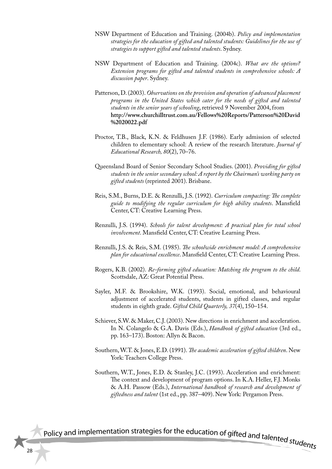- NSW Department of Education and Training. (2004b). Policy and implementation strategies for the education of gifted and talented students: Guidelines for the use of strategies to support gifted and talented students. Sydney.
- NSW Department of Education and Training. (2004c). What are the options? Extension programs for gifted and talented students in comprehensive schools: A discussion paper. Sydney.
- Patterson, D. (2003). Observations on the provision and operation of advanced placement programs in the United States which cater for the needs of gifted and talented students in the senior years of schooling, retrieved 9 November 2004, from http://www.churchilltrust.com.au/Fellows%20Reports/Patterson%20David %2020022.pdf
- Proctor, T.B., Black, K.N. & Feldhusen J.F. (1986). Early admission of selected children to elementary school: A review of the research literature. Journal of Educational Research, 80(2), 70-76.
- Queensland Board of Senior Secondary School Studies. (2001). Providing for gifted students in the senior secondary school: A report by the Chairman's working party on gifted students (reprinted 2001). Brisbane.
- Reis, S.M., Burns, D.E. & Renzulli, J.S. (1992). Curriculum compacting: The complete guide to modifying the regular curriculum for high ability students. Mansfield Center, CT: Creative Learning Press.
- Renzulli, J.S. (1994). Schools for talent development: A practical plan for total school *involvement*. Mansfield Center, CT: Creative Learning Press.
- Renzulli, J.S. & Reis, S.M. (1985). The schoolwide enrichment model: A comprehensive plan for educational excellence. Mansfield Center, CT: Creative Learning Press.
- Rogers, K.B. (2002). Re-forming gifted education: Matching the program to the child. Scottsdale, AZ: Great Potential Press.
- Sayler, M.F. & Brookshire, W.K. (1993). Social, emotional, and behavioural adjustment of accelerated students, students in gifted classes, and regular students in eighth grade. Gifted Child Quarterly, 37(4), 150-154.
- Schiever, S.W. & Maker, C.J. (2003). New directions in enrichment and acceleration. In N. Colangelo & G.A. Davis (Eds.), Handbook of gifted education (3rd ed., pp. 163-173). Boston: Allyn & Bacon.
- Southern, W.T. & Jones, E.D. (1991). The academic acceleration of gifted children. New York: Teachers College Press.
- Southern, W.T., Jones, E.D. & Stanley, J.C. (1993). Acceleration and enrichment: The context and development of program options. In K.A. Heller, F.J. Monks & A.H. Passow (Eds.), International handbook of research and development of giftedness and talent (1st ed., pp. 387-409). New York: Pergamon Press.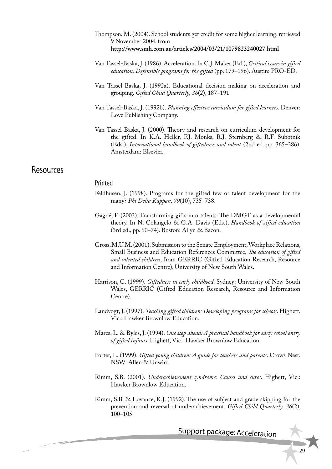- Thompson, M. (2004). School students get credit for some higher learning, retrieved 9 November 2004, from http://www.smh.com.au/articles/2004/03/21/1079823240027.html
- Van Tassel-Baska, J. (1986). Acceleration. In C.J. Maker (Ed.), Critical issues in gifted education. Defensible programs for the gifted (pp. 179-196). Austin: PRO-ED.
- Van Tassel-Baska, J. (1992a). Educational decision-making on acceleration and grouping. Gifted Child Quarterly, 36(2), 187-191.
- Van Tassel-Baska, J. (1992b). Planning effective curriculum for gifted learners. Denver: Love Publishing Company.
- Van Tassel-Baska, J. (2000). Theory and research on curriculum development for the gifted. In K.A. Heller, F.J. Monks, R.J. Sternberg & R.F. Subotnik (Eds.), International handbook of giftedness and talent (2nd ed. pp. 365–386). Amsterdam: Elsevier.

### **Resources**

#### Printed

- Feldhusen, J. (1998). Programs for the gifted few or talent development for the many? Phi Delta Kappan, 79(10), 735-738.
- Gagné, F. (2003). Transforming gifts into talents: The DMGT as a developmental theory. In N. Colangelo & G.A. Davis (Eds.), Handbook of gifted education (3rd ed., pp. 60-74). Boston: Allyn & Bacon.
- Gross, M.U.M. (2001). Submission to the Senate Employment, Workplace Relations, Small Business and Education References Committee, The education of gifted and talented children, from GERRIC (Gifted Education Research, Resource and Information Centre), University of New South Wales.
- Harrison, C. (1999). Giftedness in early childhood. Sydney: University of New South Wales, GERRIC (Gifted Education Research, Resource and Information Centre).
- Landvogt, J. (1997). Teaching gifted children: Developing programs for schools. Highett, Vic.: Hawker Brownlow Education.
- Mares, L. & Byles, J. (1994). One step ahead: A practical handbook for early school entry of gifted infants. Highett, Vic.: Hawker Brownlow Education.
- Porter, L. (1999). Gifted young children: A guide for teachers and parents. Crows Nest, NSW: Allen & Unwin.
- Rimm, S.B. (2001). Underachievement syndrome: Causes and cures. Highett, Vic.: Hawker Brownlow Education.
- Rimm, S.B. & Lovance, K.J. (1992). The use of subject and grade skipping for the prevention and reversal of underachievement. Gifted Child Quarterly, 36(2),  $100 - 105$ .

Support package: Acceleration

29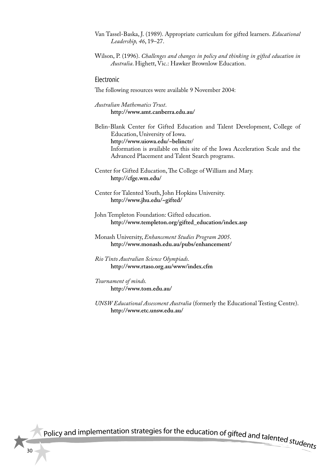- Van Tassel-Baska, J. (1989). Appropriate curriculum for gifted learners. *Educational* Leadership, 46, 19-27.
- Wilson, P. (1996). Challenges and changes in policy and thinking in gifted education in Australia. Highett, Vic.: Hawker Brownlow Education.

#### Electronic

The following resources were available 9 November 2004:

Australian Mathematics Trust. http://www.amt.canberra.edu.au/

Belin-Blank Center for Gifted Education and Talent Development, College of Education, University of Iowa. http://www.uiowa.edu/~belinctr/ Information is available on this site of the Iowa Acceleration Scale and the Advanced Placement and Talent Search programs.

Center for Gifted Education, The College of William and Mary. http://cfge.wm.edu/

- Center for Talented Youth, John Hopkins University. http://www.jhu.edu/~gifted/
- John Templeton Foundation: Gifted education. http://www.templeton.org/gifted\_education/index.asp

Monash University, Enhancement Studies Program 2005. http://www.monash.edu.au/pubs/enhancement/

Rio Tinto Australian Science Olympiads. http://www.rtaso.org.au/www/index.cfm

Tournament of minds. http://www.tom.edu.au/

UNSW Educational Assessment Australia (formerly the Educational Testing Centre). http://www.etc.unsw.edu.au/